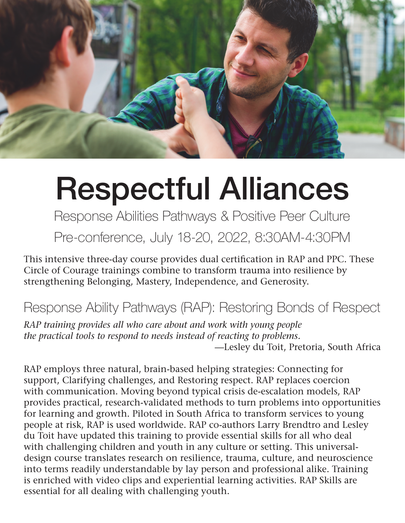

## Respectful Alliances

Response Abilities Pathways & Positive Peer Culture

Pre-conference, July 18-20, 2022, 8:30AM-4:30PM

This intensive three-day course provides dual certification in RAP and PPC. These Circle of Courage trainings combine to transform trauma into resilience by strengthening Belonging, Mastery, Independence, and Generosity.

## Response Ability Pathways (RAP): Restoring Bonds of Respect

*RAP training provides all who care about and work with young people the practical tools to respond to needs instead of reacting to problems.*  —Lesley du Toit, Pretoria, South Africa

RAP employs three natural, brain-based helping strategies: Connecting for support, Clarifying challenges, and Restoring respect. RAP replaces coercion with communication. Moving beyond typical crisis de-escalation models, RAP provides practical, research-validated methods to turn problems into opportunities for learning and growth. Piloted in South Africa to transform services to young people at risk, RAP is used worldwide. RAP co-authors Larry Brendtro and Lesley du Toit have updated this training to provide essential skills for all who deal with challenging children and youth in any culture or setting. This universaldesign course translates research on resilience, trauma, culture, and neuroscience into terms readily understandable by lay person and professional alike. Training is enriched with video clips and experiential learning activities. RAP Skills are essential for all dealing with challenging youth.